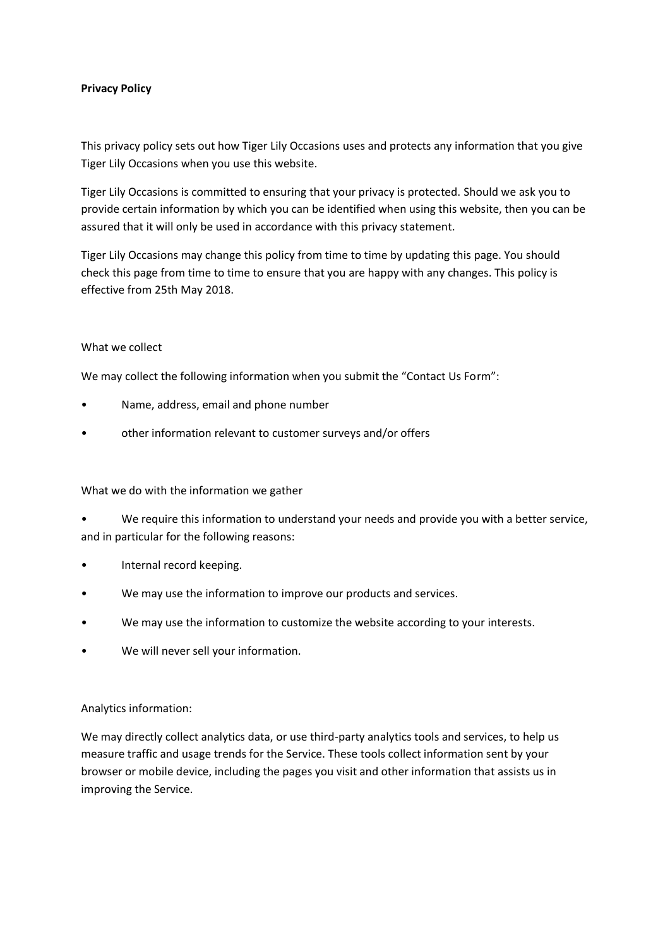### **Privacy Policy**

This privacy policy sets out how Tiger Lily Occasions uses and protects any information that you give Tiger Lily Occasions when you use this website.

Tiger Lily Occasions is committed to ensuring that your privacy is protected. Should we ask you to provide certain information by which you can be identified when using this website, then you can be assured that it will only be used in accordance with this privacy statement.

Tiger Lily Occasions may change this policy from time to time by updating this page. You should check this page from time to time to ensure that you are happy with any changes. This policy is effective from 25th May 2018.

#### What we collect

We may collect the following information when you submit the "Contact Us Form":

- Name, address, email and phone number
- other information relevant to customer surveys and/or offers

#### What we do with the information we gather

• We require this information to understand your needs and provide you with a better service, and in particular for the following reasons:

- Internal record keeping.
- We may use the information to improve our products and services.
- We may use the information to customize the website according to your interests.
- We will never sell your information.

#### Analytics information:

We may directly collect analytics data, or use third-party analytics tools and services, to help us measure traffic and usage trends for the Service. These tools collect information sent by your browser or mobile device, including the pages you visit and other information that assists us in improving the Service.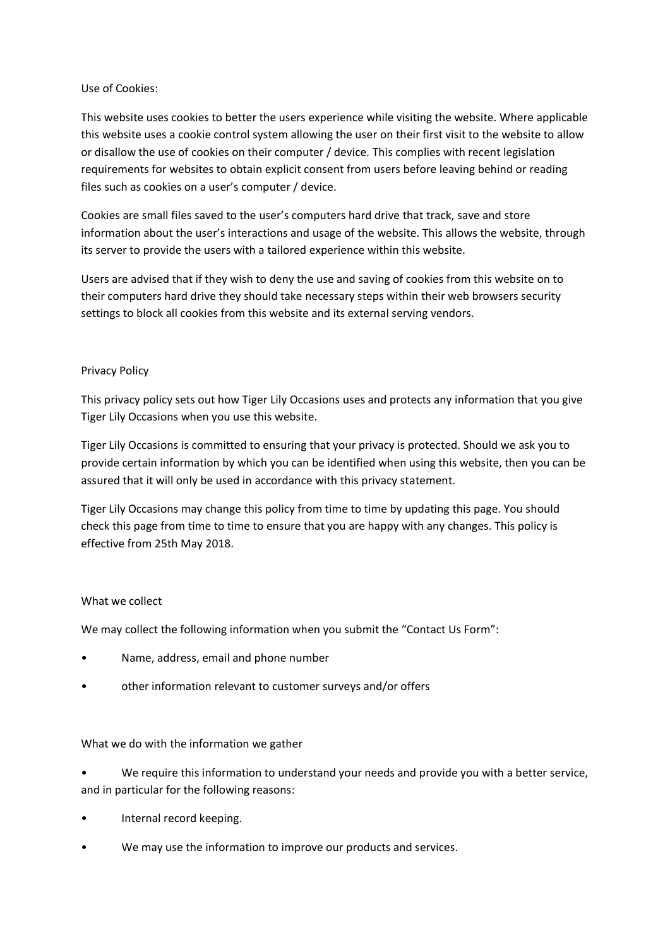## Use of Cookies:

This website uses cookies to better the users experience while visiting the website. Where applicable this website uses a cookie control system allowing the user on their first visit to the website to allow or disallow the use of cookies on their computer / device. This complies with recent legislation requirements for websites to obtain explicit consent from users before leaving behind or reading files such as cookies on a user's computer / device.

Cookies are small files saved to the user's computers hard drive that track, save and store information about the user's interactions and usage of the website. This allows the website, through its server to provide the users with a tailored experience within this website.

Users are advised that if they wish to deny the use and saving of cookies from this website on to their computers hard drive they should take necessary steps within their web browsers security settings to block all cookies from this website and its external serving vendors.

## Privacy Policy

This privacy policy sets out how Tiger Lily Occasions uses and protects any information that you give Tiger Lily Occasions when you use this website.

Tiger Lily Occasions is committed to ensuring that your privacy is protected. Should we ask you to provide certain information by which you can be identified when using this website, then you can be assured that it will only be used in accordance with this privacy statement.

Tiger Lily Occasions may change this policy from time to time by updating this page. You should check this page from time to time to ensure that you are happy with any changes. This policy is effective from 25th May 2018.

# What we collect

We may collect the following information when you submit the "Contact Us Form":

- Name, address, email and phone number
- other information relevant to customer surveys and/or offers

#### What we do with the information we gather

• We require this information to understand your needs and provide you with a better service, and in particular for the following reasons:

- Internal record keeping.
- We may use the information to improve our products and services.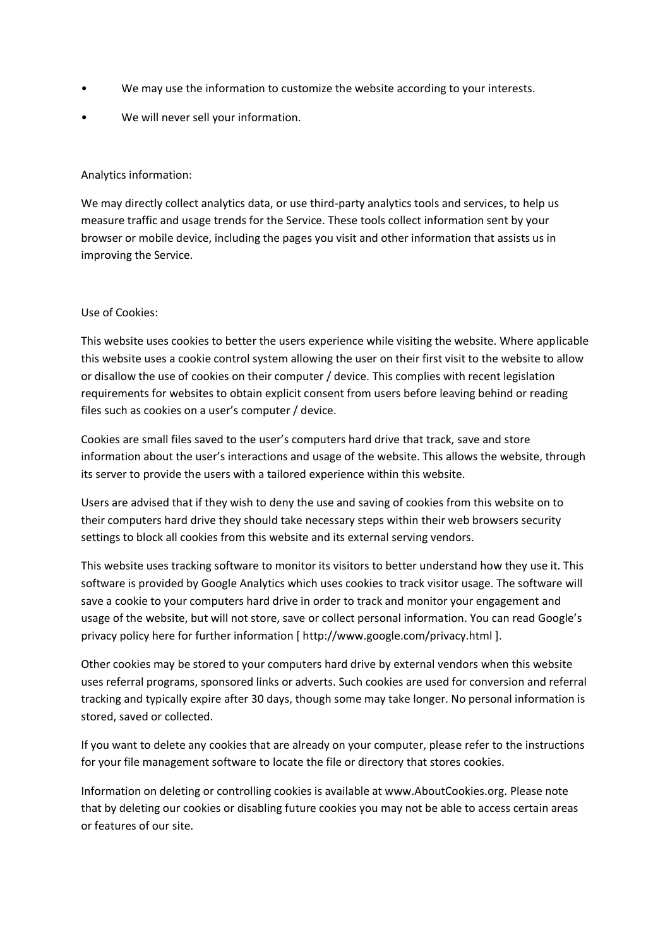- We may use the information to customize the website according to your interests.
- We will never sell your information.

## Analytics information:

We may directly collect analytics data, or use third-party analytics tools and services, to help us measure traffic and usage trends for the Service. These tools collect information sent by your browser or mobile device, including the pages you visit and other information that assists us in improving the Service.

## Use of Cookies:

This website uses cookies to better the users experience while visiting the website. Where applicable this website uses a cookie control system allowing the user on their first visit to the website to allow or disallow the use of cookies on their computer / device. This complies with recent legislation requirements for websites to obtain explicit consent from users before leaving behind or reading files such as cookies on a user's computer / device.

Cookies are small files saved to the user's computers hard drive that track, save and store information about the user's interactions and usage of the website. This allows the website, through its server to provide the users with a tailored experience within this website.

Users are advised that if they wish to deny the use and saving of cookies from this website on to their computers hard drive they should take necessary steps within their web browsers security settings to block all cookies from this website and its external serving vendors.

This website uses tracking software to monitor its visitors to better understand how they use it. This software is provided by Google Analytics which uses cookies to track visitor usage. The software will save a cookie to your computers hard drive in order to track and monitor your engagement and usage of the website, but will not store, save or collect personal information. You can read Google's privacy policy here for further information [ http://www.google.com/privacy.html ].

Other cookies may be stored to your computers hard drive by external vendors when this website uses referral programs, sponsored links or adverts. Such cookies are used for conversion and referral tracking and typically expire after 30 days, though some may take longer. No personal information is stored, saved or collected.

If you want to delete any cookies that are already on your computer, please refer to the instructions for your file management software to locate the file or directory that stores cookies.

Information on deleting or controlling cookies is available at www.AboutCookies.org. Please note that by deleting our cookies or disabling future cookies you may not be able to access certain areas or features of our site.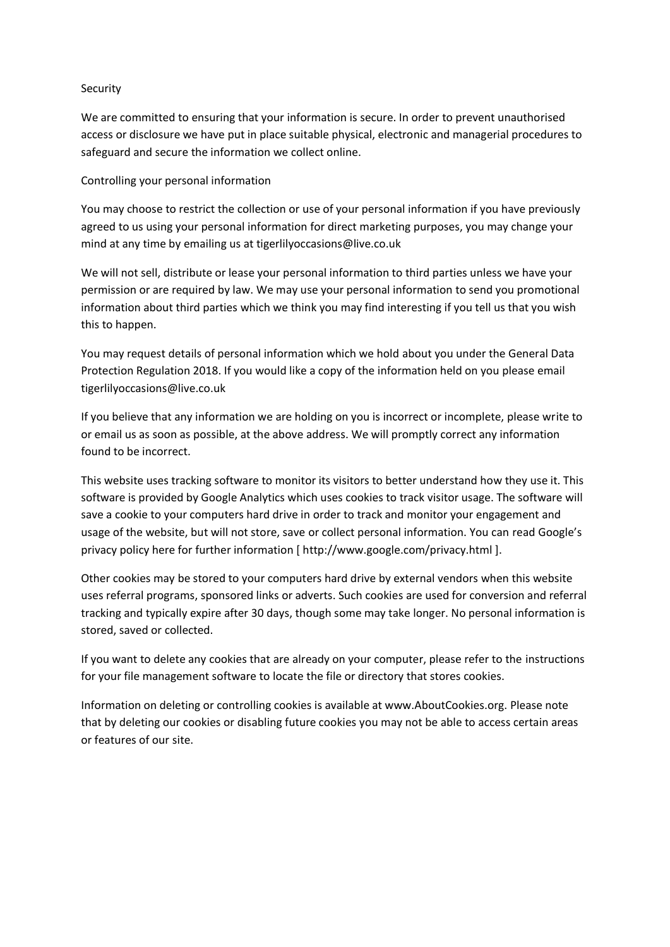#### Security

We are committed to ensuring that your information is secure. In order to prevent unauthorised access or disclosure we have put in place suitable physical, electronic and managerial procedures to safeguard and secure the information we collect online.

# Controlling your personal information

You may choose to restrict the collection or use of your personal information if you have previously agreed to us using your personal information for direct marketing purposes, you may change your mind at any time by emailing us at tigerlilyoccasions@live.co.uk

We will not sell, distribute or lease your personal information to third parties unless we have your permission or are required by law. We may use your personal information to send you promotional information about third parties which we think you may find interesting if you tell us that you wish this to happen.

You may request details of personal information which we hold about you under the General Data Protection Regulation 2018. If you would like a copy of the information held on you please email tigerlilyoccasions@live.co.uk

If you believe that any information we are holding on you is incorrect or incomplete, please write to or email us as soon as possible, at the above address. We will promptly correct any information found to be incorrect.

This website uses tracking software to monitor its visitors to better understand how they use it. This software is provided by Google Analytics which uses cookies to track visitor usage. The software will save a cookie to your computers hard drive in order to track and monitor your engagement and usage of the website, but will not store, save or collect personal information. You can read Google's privacy policy here for further information [ http://www.google.com/privacy.html ].

Other cookies may be stored to your computers hard drive by external vendors when this website uses referral programs, sponsored links or adverts. Such cookies are used for conversion and referral tracking and typically expire after 30 days, though some may take longer. No personal information is stored, saved or collected.

If you want to delete any cookies that are already on your computer, please refer to the instructions for your file management software to locate the file or directory that stores cookies.

Information on deleting or controlling cookies is available at www.AboutCookies.org. Please note that by deleting our cookies or disabling future cookies you may not be able to access certain areas or features of our site.